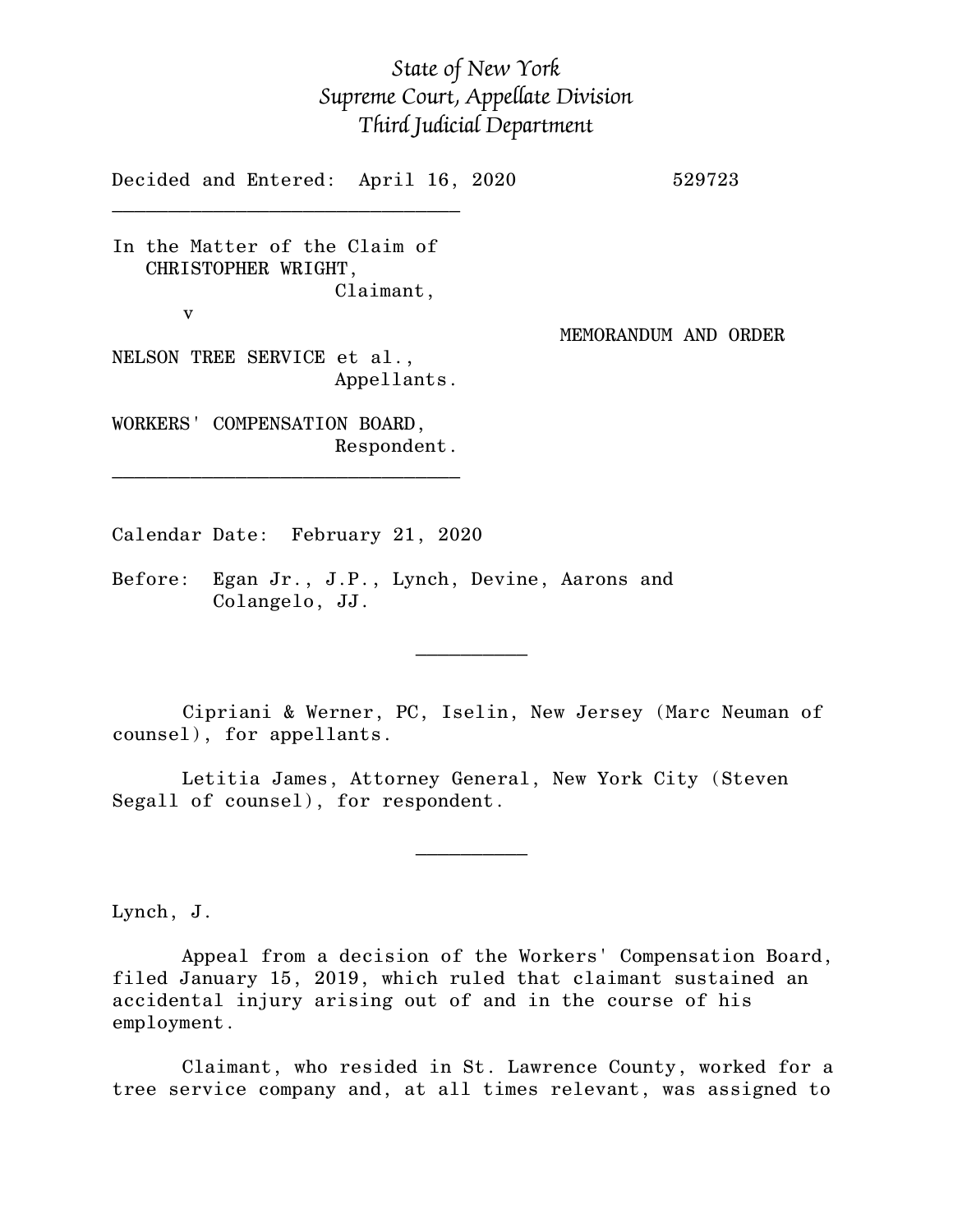## *State of New York Supreme Court, Appellate Division Third Judicial Department*

Decided and Entered: April 16, 2020 529723  $\mathcal{L}_\text{max}$ In the Matter of the Claim of CHRISTOPHER WRIGHT, Claimant, v MEMORANDUM AND ORDER NELSON TREE SERVICE et al., Appellants.

WORKERS' COMPENSATION BOARD, Respondent.

\_\_\_\_\_\_\_\_\_\_\_\_\_\_\_\_\_\_\_\_\_\_\_\_\_\_\_\_\_\_\_

Calendar Date: February 21, 2020

 $\mathcal{L}_\text{max}$  and  $\mathcal{L}_\text{max}$  are the set of  $\mathcal{L}_\text{max}$  . The set of  $\mathcal{L}_\text{max}$ 

 $\mathcal{L}_\text{max}$  and  $\mathcal{L}_\text{max}$  are the set of  $\mathcal{L}_\text{max}$  . The set of  $\mathcal{L}_\text{max}$ 

Before: Egan Jr., J.P., Lynch, Devine, Aarons and Colangelo, JJ.

Cipriani & Werner, PC, Iselin, New Jersey (Marc Neuman of counsel), for appellants.

Letitia James, Attorney General, New York City (Steven Segall of counsel), for respondent.

Lynch, J.

Appeal from a decision of the Workers' Compensation Board, filed January 15, 2019, which ruled that claimant sustained an accidental injury arising out of and in the course of his employment.

Claimant, who resided in St. Lawrence County, worked for a tree service company and, at all times relevant, was assigned to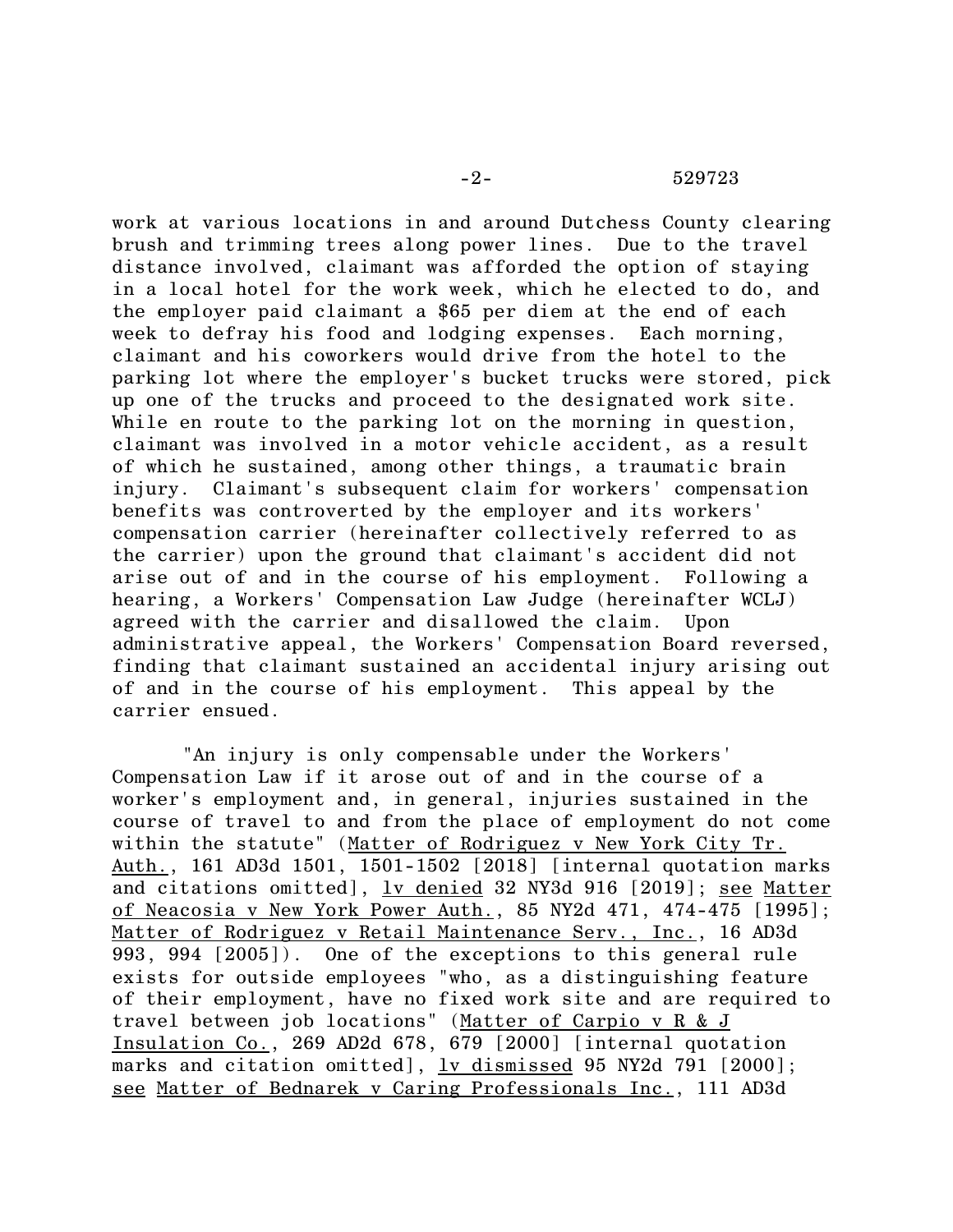work at various locations in and around Dutchess County clearing brush and trimming trees along power lines. Due to the travel distance involved, claimant was afforded the option of staying in a local hotel for the work week, which he elected to do, and the employer paid claimant a \$65 per diem at the end of each week to defray his food and lodging expenses. Each morning, claimant and his coworkers would drive from the hotel to the parking lot where the employer's bucket trucks were stored, pick up one of the trucks and proceed to the designated work site. While en route to the parking lot on the morning in question, claimant was involved in a motor vehicle accident, as a result of which he sustained, among other things, a traumatic brain injury. Claimant's subsequent claim for workers' compensation benefits was controverted by the employer and its workers' compensation carrier (hereinafter collectively referred to as the carrier) upon the ground that claimant's accident did not arise out of and in the course of his employment. Following a hearing, a Workers' Compensation Law Judge (hereinafter WCLJ) agreed with the carrier and disallowed the claim. Upon administrative appeal, the Workers' Compensation Board reversed, finding that claimant sustained an accidental injury arising out of and in the course of his employment. This appeal by the carrier ensued.

"An injury is only compensable under the Workers' Compensation Law if it arose out of and in the course of a worker's employment and, in general, injuries sustained in the course of travel to and from the place of employment do not come within the statute" (Matter of Rodriguez v New York City Tr. Auth., 161 AD3d 1501, 1501-1502 [2018] [internal quotation marks and citations omitted], lv denied 32 NY3d 916 [2019]; see Matter of Neacosia v New York Power Auth., 85 NY2d 471, 474-475 [1995]; Matter of Rodriguez v Retail Maintenance Serv., Inc., 16 AD3d 993, 994 [2005]). One of the exceptions to this general rule exists for outside employees "who, as a distinguishing feature of their employment, have no fixed work site and are required to travel between job locations" (Matter of Carpio v R & J Insulation Co., 269 AD2d 678, 679 [2000] [internal quotation marks and citation omitted], lv dismissed 95 NY2d 791 [2000]; see Matter of Bednarek v Caring Professionals Inc., 111 AD3d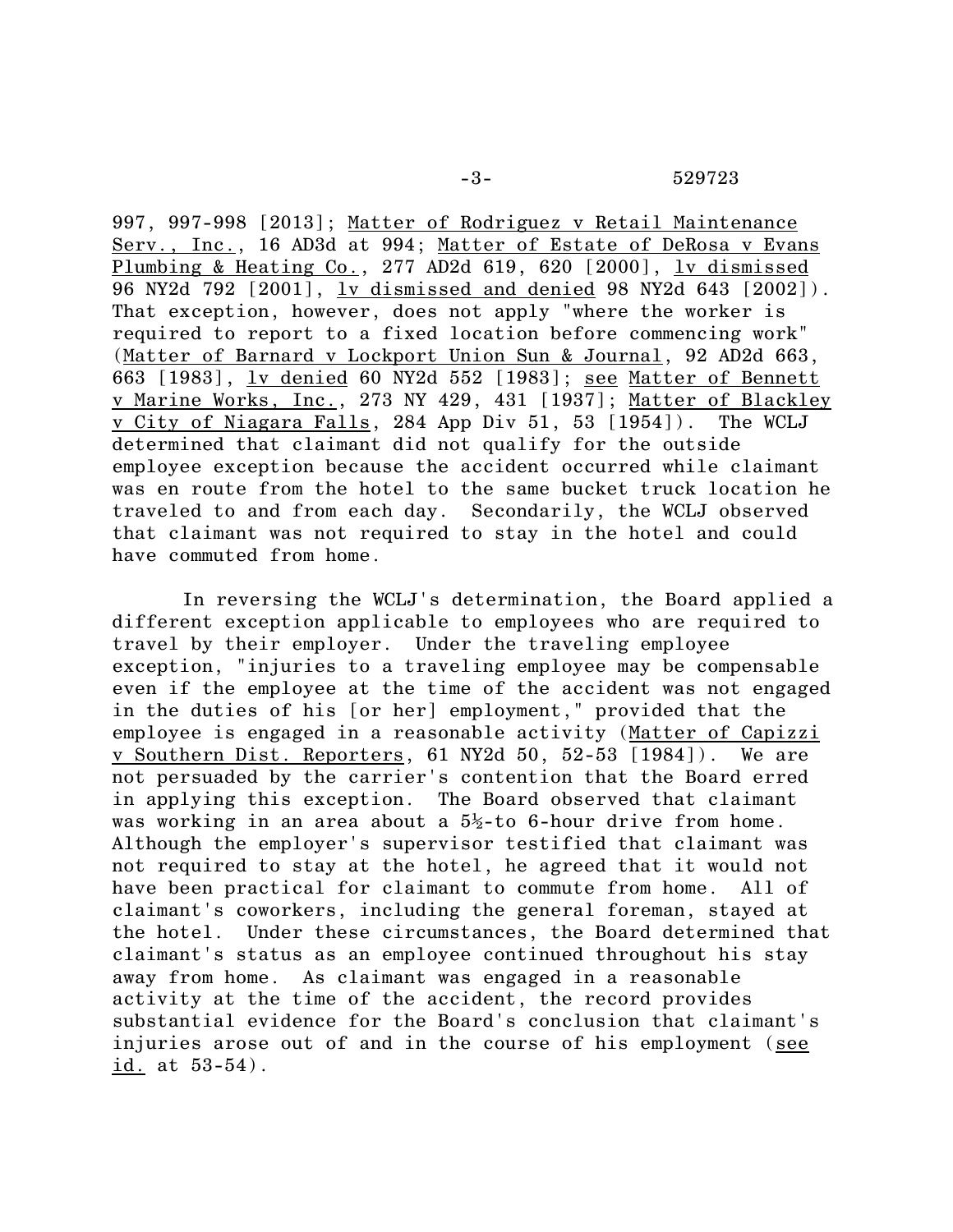997, 997-998 [2013]; Matter of Rodriguez v Retail Maintenance Serv., Inc., 16 AD3d at 994; Matter of Estate of DeRosa v Evans Plumbing & Heating Co., 277 AD2d 619, 620 [2000], lv dismissed 96 NY2d 792 [2001], lv dismissed and denied 98 NY2d 643 [2002]). That exception, however, does not apply "where the worker is required to report to a fixed location before commencing work" (Matter of Barnard v Lockport Union Sun & Journal, 92 AD2d 663, 663 [1983], lv denied 60 NY2d 552 [1983]; see Matter of Bennett v Marine Works, Inc., 273 NY 429, 431 [1937]; Matter of Blackley v City of Niagara Falls, 284 App Div 51, 53 [1954]). The WCLJ determined that claimant did not qualify for the outside employee exception because the accident occurred while claimant was en route from the hotel to the same bucket truck location he traveled to and from each day. Secondarily, the WCLJ observed that claimant was not required to stay in the hotel and could have commuted from home.

In reversing the WCLJ's determination, the Board applied a different exception applicable to employees who are required to travel by their employer. Under the traveling employee exception, "injuries to a traveling employee may be compensable even if the employee at the time of the accident was not engaged in the duties of his [or her] employment," provided that the employee is engaged in a reasonable activity (Matter of Capizzi v Southern Dist. Reporters, 61 NY2d 50, 52-53 [1984]). We are not persuaded by the carrier's contention that the Board erred in applying this exception. The Board observed that claimant was working in an area about a  $5\frac{1}{2}$ -to 6-hour drive from home. Although the employer's supervisor testified that claimant was not required to stay at the hotel, he agreed that it would not have been practical for claimant to commute from home. All of claimant's coworkers, including the general foreman, stayed at the hotel. Under these circumstances, the Board determined that claimant's status as an employee continued throughout his stay away from home. As claimant was engaged in a reasonable activity at the time of the accident, the record provides substantial evidence for the Board's conclusion that claimant's injuries arose out of and in the course of his employment (see id. at 53-54).